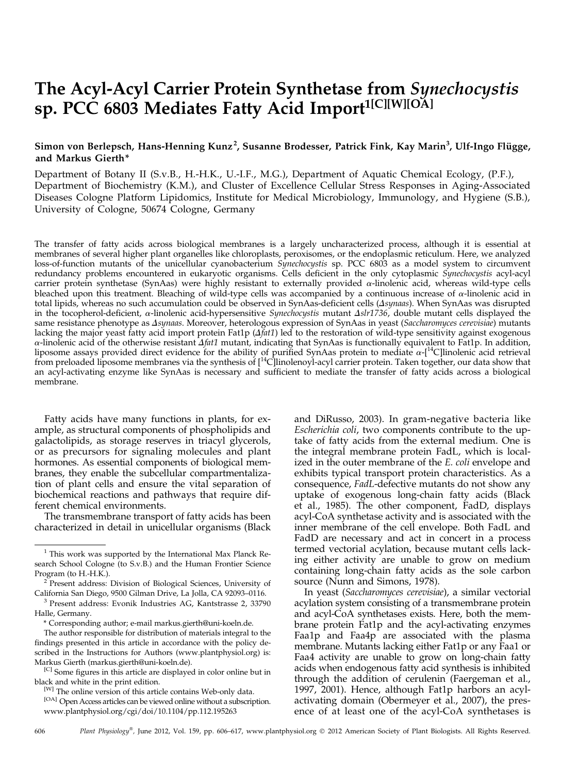# The Acyl-Acyl Carrier Protein Synthetase from Synechocystis sp. PCC 6803 Mediates Fatty Acid Import<sup>1[C][W][OA]</sup>

# Simon von Berlepsch, Hans-Henning Kunz $^2$ , Susanne Brodesser, Patrick Fink, Kay Marin $^3$ , Ulf-Ingo Flügge, and Markus Gierth\*

Department of Botany II (S.v.B., H.-H.K., U.-I.F., M.G.), Department of Aquatic Chemical Ecology, (P.F.), Department of Biochemistry (K.M.), and Cluster of Excellence Cellular Stress Responses in Aging-Associated Diseases Cologne Platform Lipidomics, Institute for Medical Microbiology, Immunology, and Hygiene (S.B.), University of Cologne, 50674 Cologne, Germany

The transfer of fatty acids across biological membranes is a largely uncharacterized process, although it is essential at membranes of several higher plant organelles like chloroplasts, peroxisomes, or the endoplasmic reticulum. Here, we analyzed loss-of-function mutants of the unicellular cyanobacterium *Synechocystis* sp. PCC 6803 as a model system to circumvent redundancy problems encountered in eukaryotic organisms. Cells deficient in the only cytoplasmic Synechocystis acyl-acyl carrier protein synthetase (SynAas) were highly resistant to externally provided a-linolenic acid, whereas wild-type cells bleached upon this treatment. Bleaching of wild-type cells was accompanied by a continuous increase of  $\alpha$ -linolenic acid in total lipids, whereas no such accumulation could be observed in SynAas-deficient cells (*Asynaas*). When SynAas was disrupted in the tocopherol-deficient, a-linolenic acid-hypersensitive Synechocystis mutant  $\Delta s l r 1736$ , double mutant cells displayed the same resistance phenotype as *Asynaas*. Moreover, heterologous expression of SynAas in yeast (Saccharomyces cerevisiae) mutants lacking the major yeast fatty acid import protein Fat1p ( $\Delta \hat{h}$ t1) led to the restoration of wild-type sensitivity against exogenous  $\alpha$ -linolenic acid of the otherwise resistant  $\Delta f$ at1 mutant, indicating that SynAas is functionally equivalent to Fat1p. In addition, liposome assays provided direct evidence for the ability of purified SynAas protein to mediate  $\alpha$ -[<sup>14</sup>C]linolenic acid retrieval from preloaded liposome membranes via the synthesis of  $1^14C$ linolenoyl-acyl carrier protein. Taken together, our data show that an acyl-activating enzyme like SynAas is necessary and sufficient to mediate the transfer of fatty acids across a biological membrane.

Fatty acids have many functions in plants, for example, as structural components of phospholipids and galactolipids, as storage reserves in triacyl glycerols, or as precursors for signaling molecules and plant hormones. As essential components of biological membranes, they enable the subcellular compartmentalization of plant cells and ensure the vital separation of biochemical reactions and pathways that require different chemical environments.

The transmembrane transport of fatty acids has been characterized in detail in unicellular organisms (Black

Program (to H.-H.K.).<br><sup>2</sup> Present address: Division of Biological Sciences, University of California San Diego, 9500 Gilman Drive, La Jolla, CA 92093-0116.

\* Corresponding author; e-mail [markus.gierth@uni-koeln.de.](mailto:markus.gierth@uni-koeln.de)

[OA] Open Access articles can be viewed online without a subscription. [www.plantphysiol.org/cgi/doi/10.1104/pp.112.195263](http://www.plantphysiol.org/cgi/doi/10.1104/pp.112.195263)

and DiRusso, 2003). In gram-negative bacteria like Escherichia coli, two components contribute to the uptake of fatty acids from the external medium. One is the integral membrane protein FadL, which is localized in the outer membrane of the E. coli envelope and exhibits typical transport protein characteristics. As a consequence, FadL-defective mutants do not show any uptake of exogenous long-chain fatty acids (Black et al., 1985). The other component, FadD, displays acyl-CoA synthetase activity and is associated with the inner membrane of the cell envelope. Both FadL and FadD are necessary and act in concert in a process termed vectorial acylation, because mutant cells lacking either activity are unable to grow on medium containing long-chain fatty acids as the sole carbon source (Nunn and Simons, 1978).

In yeast (Saccharomyces cerevisiae), a similar vectorial acylation system consisting of a transmembrane protein and acyl-CoA synthetases exists. Here, both the membrane protein Fat1p and the acyl-activating enzymes Faa1p and Faa4p are associated with the plasma membrane. Mutants lacking either Fat1p or any Faa1 or Faa4 activity are unable to grow on long-chain fatty acids when endogenous fatty acid synthesis is inhibited through the addition of cerulenin (Faergeman et al., 1997, 2001). Hence, although Fat1p harbors an acylactivating domain (Obermeyer et al., 2007), the presence of at least one of the acyl-CoA synthetases is

<sup>1</sup> This work was supported by the International Max Planck Research School Cologne (to S.v.B.) and the Human Frontier Science

 $3$  Present address: Evonik Industries AG, Kantstrasse 2, 33790 Halle, Germany.

The author responsible for distribution of materials integral to the findings presented in this article in accordance with the policy described in the Instructions for Authors ([www.plantphysiol.org\)](http://www.plantphysiol.org) is: Markus Gierth ([markus.gierth@uni-koeln.de](mailto:markus.gierth@uni-koeln.de)).

<sup>&</sup>lt;sup>[C]</sup> Some figures in this article are displayed in color online but in black and white in the print edition.

<sup>[</sup>W] The online version of this article contains Web-only data.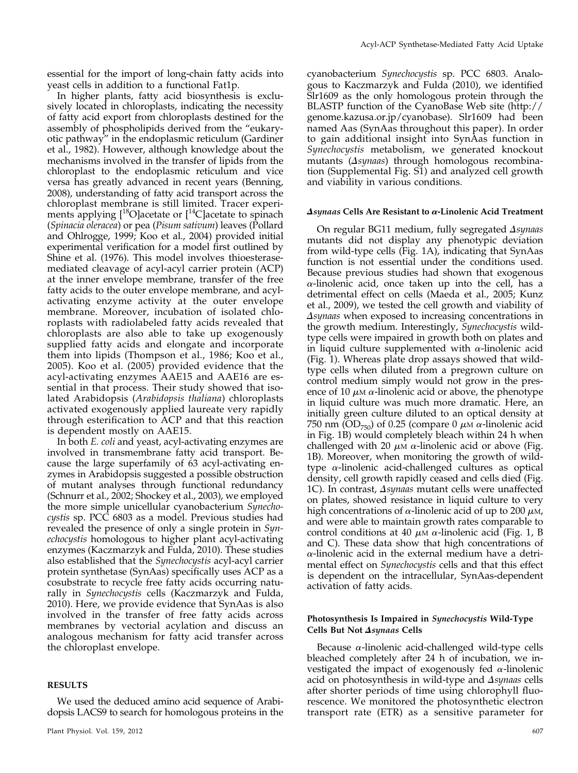essential for the import of long-chain fatty acids into yeast cells in addition to a functional Fat1p.

In higher plants, fatty acid biosynthesis is exclusively located in chloroplasts, indicating the necessity of fatty acid export from chloroplasts destined for the assembly of phospholipids derived from the "eukaryotic pathway" in the endoplasmic reticulum (Gardiner et al., 1982). However, although knowledge about the mechanisms involved in the transfer of lipids from the chloroplast to the endoplasmic reticulum and vice versa has greatly advanced in recent years (Benning, 2008), understanding of fatty acid transport across the chloroplast membrane is still limited. Tracer experiments applying  $[{}^{18}O]$ acetate or  $[{}^{14}C]$ acetate to spinach (Spinacia oleracea) or pea (Pisum sativum) leaves (Pollard and Ohlrogge, 1999; Koo et al., 2004) provided initial experimental verification for a model first outlined by Shine et al. (1976). This model involves thioesterasemediated cleavage of acyl-acyl carrier protein (ACP) at the inner envelope membrane, transfer of the free fatty acids to the outer envelope membrane, and acylactivating enzyme activity at the outer envelope membrane. Moreover, incubation of isolated chloroplasts with radiolabeled fatty acids revealed that chloroplasts are also able to take up exogenously supplied fatty acids and elongate and incorporate them into lipids (Thompson et al., 1986; Koo et al., 2005). Koo et al. (2005) provided evidence that the acyl-activating enzymes AAE15 and AAE16 are essential in that process. Their study showed that isolated Arabidopsis (Arabidopsis thaliana) chloroplasts activated exogenously applied laureate very rapidly through esterification to ACP and that this reaction is dependent mostly on AAE15.

In both E. coli and yeast, acyl-activating enzymes are involved in transmembrane fatty acid transport. Because the large superfamily of 63 acyl-activating enzymes in Arabidopsis suggested a possible obstruction of mutant analyses through functional redundancy (Schnurr et al., 2002; Shockey et al., 2003), we employed the more simple unicellular cyanobacterium Synechocystis sp. PCC 6803 as a model. Previous studies had revealed the presence of only a single protein in Synechocystis homologous to higher plant acyl-activating enzymes (Kaczmarzyk and Fulda, 2010). These studies also established that the Synechocystis acyl-acyl carrier protein synthetase (SynAas) specifically uses ACP as a cosubstrate to recycle free fatty acids occurring naturally in Synechocystis cells (Kaczmarzyk and Fulda, 2010). Here, we provide evidence that SynAas is also involved in the transfer of free fatty acids across membranes by vectorial acylation and discuss an analogous mechanism for fatty acid transfer across the chloroplast envelope.

#### RESULTS

We used the deduced amino acid sequence of Arabidopsis LACS9 to search for homologous proteins in the

cyanobacterium Synechocystis sp. PCC 6803. Analogous to Kaczmarzyk and Fulda (2010), we identified Slr1609 as the only homologous protein through the BLASTP function of the CyanoBase Web site [\(http://](http://genome.kazusa.or.jp/cyanobase) [genome.kazusa.or.jp/cyanobase](http://genome.kazusa.or.jp/cyanobase)). Slr1609 had been named Aas (SynAas throughout this paper). In order to gain additional insight into SynAas function in Synechocystis metabolism, we generated knockout mutants ( $\triangle$ synaas) through homologous recombination ([Supplemental Fig. S1](http://www.plantphysiol.org/cgi/content/full/pp.112.195263/DC1)) and analyzed cell growth and viability in various conditions.

#### $\Delta$ synaas Cells Are Resistant to  $\alpha$ -Linolenic Acid Treatment

On regular BG11 medium, fully segregated  $\Delta$ synaas mutants did not display any phenotypic deviation from wild-type cells (Fig. 1A), indicating that SynAas function is not essential under the conditions used. Because previous studies had shown that exogenous  $\alpha$ -linolenic acid, once taken up into the cell, has a detrimental effect on cells (Maeda et al., 2005; Kunz et al., 2009), we tested the cell growth and viability of  $\Delta$ synaas when exposed to increasing concentrations in the growth medium. Interestingly, Synechocystis wildtype cells were impaired in growth both on plates and in liquid culture supplemented with  $\alpha$ -linolenic acid (Fig. 1). Whereas plate drop assays showed that wildtype cells when diluted from a pregrown culture on control medium simply would not grow in the presence of 10  $\mu$ M  $\alpha$ -linolenic acid or above, the phenotype in liquid culture was much more dramatic. Here, an initially green culture diluted to an optical density at 750 nm (OD<sub>750</sub>) of 0.25 (compare 0  $\mu$ M  $\alpha$ -linolenic acid in Fig. 1B) would completely bleach within 24 h when challenged with 20  $\mu$ M  $\alpha$ -linolenic acid or above (Fig. 1B). Moreover, when monitoring the growth of wildtype  $\alpha$ -linolenic acid-challenged cultures as optical density, cell growth rapidly ceased and cells died (Fig. 1C). In contrast, Asynaas mutant cells were unaffected on plates, showed resistance in liquid culture to very high concentrations of  $\alpha$ -linolenic acid of up to 200  $\mu$ M, and were able to maintain growth rates comparable to control conditions at 40  $\mu$ M  $\alpha$ -linolenic acid (Fig. 1, B and C). These data show that high concentrations of  $\alpha$ -linolenic acid in the external medium have a detrimental effect on Synechocystis cells and that this effect is dependent on the intracellular, SynAas-dependent activation of fatty acids.

## Photosynthesis Is Impaired in Synechocystis Wild-Type Cells But Not Asynaas Cells

Because  $\alpha$ -linolenic acid-challenged wild-type cells bleached completely after 24 h of incubation, we investigated the impact of exogenously fed  $\alpha$ -linolenic acid on photosynthesis in wild-type and  $\Delta$ synaas cells after shorter periods of time using chlorophyll fluorescence. We monitored the photosynthetic electron transport rate (ETR) as a sensitive parameter for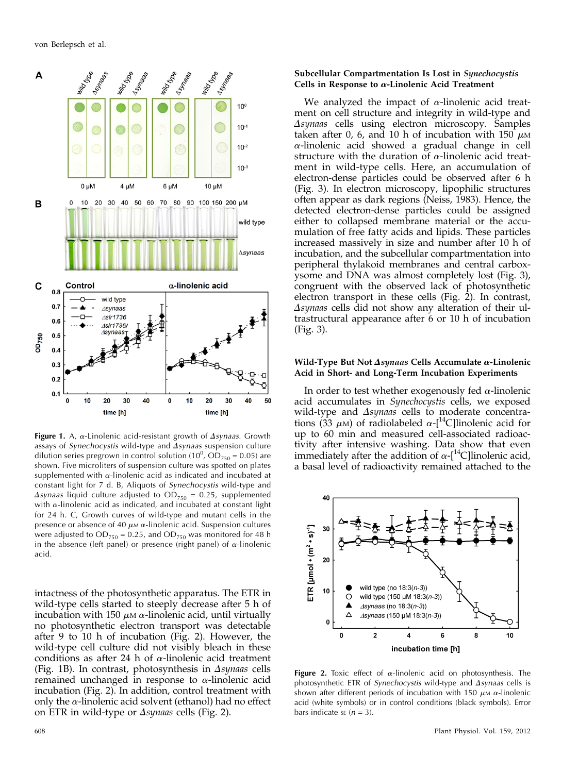

**Figure 1.** A,  $\alpha$ -Linolenic acid-resistant growth of  $\Delta$ *synaas*. Growth assays of Synechocystis wild-type and  $\Delta$ synaas suspension culture dilution series pregrown in control solution (10<sup>0</sup>, OD<sub>750</sub> = 0.05) are shown. Five microliters of suspension culture was spotted on plates supplemented with  $\alpha$ -linolenic acid as indicated and incubated at constant light for 7 d. B, Aliquots of Synechocystis wild-type and  $\Delta$ synaas liquid culture adjusted to  $OD_{750} = 0.25$ , supplemented with  $\alpha$ -linolenic acid as indicated, and incubated at constant light for 24 h. C, Growth curves of wild-type and mutant cells in the presence or absence of 40  $\mu$ M  $\alpha$ -linolenic acid. Suspension cultures were adjusted to  $OD_{750} = 0.25$ , and  $OD_{750}$  was monitored for 48 h in the absence (left panel) or presence (right panel) of  $\alpha$ -linolenic acid.

intactness of the photosynthetic apparatus. The ETR in wild-type cells started to steeply decrease after 5 h of incubation with 150  $\mu$ <sub>M</sub>  $\alpha$ -linolenic acid, until virtually no photosynthetic electron transport was detectable after 9 to 10 h of incubation (Fig. 2). However, the wild-type cell culture did not visibly bleach in these conditions as after 24 h of  $\alpha$ -linolenic acid treatment (Fig. 1B). In contrast, photosynthesis in  $\Delta$ synaas cells remained unchanged in response to  $\alpha$ -linolenic acid incubation (Fig. 2). In addition, control treatment with only the  $\alpha$ -linolenic acid solvent (ethanol) had no effect on ETR in wild-type or  $\Delta$ synaas cells (Fig. 2).

## Subcellular Compartmentation Is Lost in Synechocystis Cells in Response to  $\alpha$ -Linolenic Acid Treatment

We analyzed the impact of  $\alpha$ -linolenic acid treatment on cell structure and integrity in wild-type and Asynaas cells using electron microscopy. Samples taken after 0, 6, and 10 h of incubation with 150  $\mu$ M  $\alpha$ -linolenic acid showed a gradual change in cell structure with the duration of  $\alpha$ -linolenic acid treatment in wild-type cells. Here, an accumulation of electron-dense particles could be observed after 6 h (Fig. 3). In electron microscopy, lipophilic structures often appear as dark regions (Neiss, 1983). Hence, the detected electron-dense particles could be assigned either to collapsed membrane material or the accumulation of free fatty acids and lipids. These particles increased massively in size and number after 10 h of incubation, and the subcellular compartmentation into peripheral thylakoid membranes and central carboxysome and DNA was almost completely lost (Fig. 3), congruent with the observed lack of photosynthetic electron transport in these cells (Fig. 2). In contrast,  $\Delta$ synaas cells did not show any alteration of their ultrastructural appearance after 6 or 10 h of incubation (Fig. 3).

## Wild-Type But Not  $\Delta$ synaas Cells Accumulate  $\alpha$ -Linolenic Acid in Short- and Long-Term Incubation Experiments

In order to test whether exogenously fed  $\alpha$ -linolenic acid accumulates in Synechocystis cells, we exposed wild-type and  $\Delta$ synaas cells to moderate concentrations (33  $\mu$ M) of radiolabeled  $\alpha$ -[<sup>14</sup>C]linolenic acid for up to 60 min and measured cell-associated radioactivity after intensive washing. Data show that even immediately after the addition of  $\alpha$ -[<sup>14</sup>C]linolenic acid, a basal level of radioactivity remained attached to the



Figure 2. Toxic effect of  $\alpha$ -linolenic acid on photosynthesis. The photosynthetic ETR of Synechocystis wild-type and  $\Delta$ synaas cells is shown after different periods of incubation with 150  $\mu$ M  $\alpha$ -linolenic acid (white symbols) or in control conditions (black symbols). Error bars indicate se  $(n = 3)$ .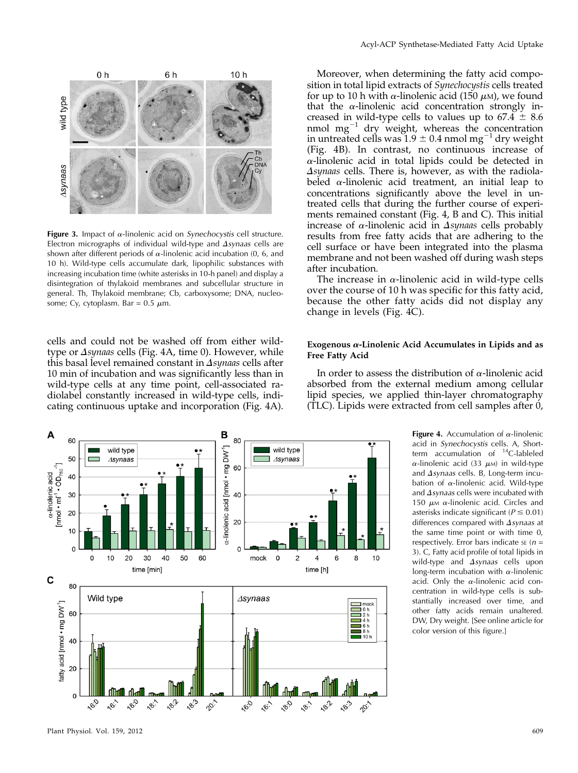

Figure 3. Impact of  $\alpha$ -linolenic acid on *Synechocystis* cell structure. Electron micrographs of individual wild-type and  $\Delta$ synaas cells are shown after different periods of  $\alpha$ -linolenic acid incubation (0, 6, and 10 h). Wild-type cells accumulate dark, lipophilic substances with increasing incubation time (white asterisks in 10-h panel) and display a disintegration of thylakoid membranes and subcellular structure in general. Th, Thylakoid membrane; Cb, carboxysome; DNA, nucleosome; Cy, cytoplasm. Bar =  $0.5 \mu$ m.

cells and could not be washed off from either wildtype or  $\Delta$ synaas cells (Fig. 4A, time 0). However, while this basal level remained constant in  $\Delta$ synaas cells after 10 min of incubation and was significantly less than in wild-type cells at any time point, cell-associated radiolabel constantly increased in wild-type cells, indicating continuous uptake and incorporation (Fig. 4A).



Moreover, when determining the fatty acid composition in total lipid extracts of *Synechocystis* cells treated for up to 10 h with  $\alpha$ -linolenic acid (150  $\mu$ M), we found that the  $\alpha$ -linolenic acid concentration strongly increased in wild-type cells to values up to  $67.4 \pm 8.6$ nmol  $mg^{-1}$  dry weight, whereas the concentration in untreated cells was  $1.9 \pm 0.4$  nmol mg<sup>-1</sup> dry weight (Fig. 4B). In contrast, no continuous increase of  $\alpha$ -linolenic acid in total lipids could be detected in  $\Delta$ synaas cells. There is, however, as with the radiolabeled  $\alpha$ -linolenic acid treatment, an initial leap to concentrations significantly above the level in untreated cells that during the further course of experiments remained constant (Fig. 4, B and C). This initial increase of  $\alpha$ -linolenic acid in  $\Delta$ synaas cells probably results from free fatty acids that are adhering to the cell surface or have been integrated into the plasma membrane and not been washed off during wash steps after incubation.

The increase in  $\alpha$ -linolenic acid in wild-type cells over the course of 10 h was specific for this fatty acid, because the other fatty acids did not display any change in levels (Fig. 4C).

#### Exogenous  $\alpha$ -Linolenic Acid Accumulates in Lipids and as Free Fatty Acid

In order to assess the distribution of  $\alpha$ -linolenic acid absorbed from the external medium among cellular lipid species, we applied thin-layer chromatography (TLC). Lipids were extracted from cell samples after 0,



Figure 4. Accumulation of  $\alpha$ -linolenic acid in Synechocystis cells. A, Shortterm accumulation of  $^{14}$ C-lableled  $\alpha$ -linolenic acid (33  $\mu$ M) in wild-type and  $\Delta$ synaas cells. B, Long-term incubation of  $\alpha$ -linolenic acid. Wild-type and  $\Delta$  synaas cells were incubated with 150  $\mu$ M  $\alpha$ -linolenic acid. Circles and asterisks indicate significant ( $P \le 0.01$ ) differences compared with  $\Delta synaas$  at the same time point or with time 0, respectively. Error bars indicate se  $(n =$ 3). C, Fatty acid profile of total lipids in wild-type and  $\Delta$ synaas cells upon long-term incubation with  $\alpha$ -linolenic acid. Only the  $\alpha$ -linolenic acid concentration in wild-type cells is substantially increased over time, and other fatty acids remain unaltered. DW, Dry weight. [See online article for color version of this figure.]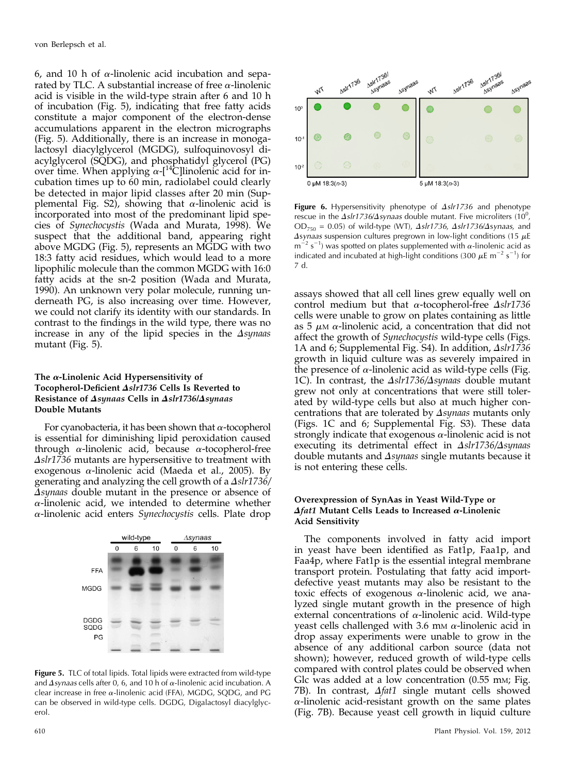6, and 10 h of  $\alpha$ -linolenic acid incubation and separated by TLC. A substantial increase of free  $\alpha$ -linolenic acid is visible in the wild-type strain after 6 and 10 h of incubation (Fig. 5), indicating that free fatty acids constitute a major component of the electron-dense accumulations apparent in the electron micrographs (Fig. 5). Additionally, there is an increase in monogalactosyl diacylglycerol (MGDG), sulfoquinovosyl diacylglycerol (SQDG), and phosphatidyl glycerol (PG) over time. When applying  $\alpha$ -[<sup>14</sup>C]linolenic acid for incubation times up to 60 min, radiolabel could clearly be detected in major lipid classes after 20 min ([Sup](http://www.plantphysiol.org/cgi/content/full/pp.112.195263/DC1)[plemental Fig. S2\)](http://www.plantphysiol.org/cgi/content/full/pp.112.195263/DC1), showing that  $\alpha$ -linolenic acid is incorporated into most of the predominant lipid species of Synechocystis (Wada and Murata, 1998). We suspect that the additional band, appearing right above MGDG (Fig. 5), represents an MGDG with two 18:3 fatty acid residues, which would lead to a more lipophilic molecule than the common MGDG with 16:0 fatty acids at the sn-2 position (Wada and Murata, 1990). An unknown very polar molecule, running underneath PG, is also increasing over time. However, we could not clarify its identity with our standards. In contrast to the findings in the wild type, there was no increase in any of the lipid species in the  $\Delta$ synaas mutant (Fig. 5).

## The  $\alpha$ -Linolenic Acid Hypersensitivity of Tocopherol-Deficient  $\Delta s l r 1736$  Cells Is Reverted to Resistance of  $\Delta$ synaas Cells in  $\Delta$ slr1736/ $\Delta$ synaas Double Mutants

For cyanobacteria, it has been shown that  $\alpha$ -tocopherol is essential for diminishing lipid peroxidation caused through  $\alpha$ -linolenic acid, because  $\alpha$ -tocopherol-free  $\Delta s$ lr1736 mutants are hypersensitive to treatment with exogenous  $\alpha$ -linolenic acid (Maeda et al., 2005). By generating and analyzing the cell growth of a  $\Delta$ slr1736/  $\Delta$ synaas double mutant in the presence or absence of  $\alpha$ -linolenic acid, we intended to determine whether  $\alpha$ -linolenic acid enters Synechocystis cells. Plate drop



Figure 5. TLC of total lipids. Total lipids were extracted from wild-type and  $\Delta$ synaas cells after 0, 6, and 10 h of  $\alpha$ -linolenic acid incubation. A clear increase in free  $\alpha$ -linolenic acid (FFA), MGDG, SQDG, and PG can be observed in wild-type cells. DGDG, Digalactosyl diacylglycerol.



Figure 6. Hypersensitivity phenotype of  $\Delta s$ Ir1736 and phenotype rescue in the  $\Delta s I r 1736/\Delta s y n a a s$  double mutant. Five microliters (10<sup>0</sup>,  $OD_{750} = 0.05$ ) of wild-type (WT),  $\Delta s/r1736$ ,  $\Delta s/r1736/\Delta s$ ynaas, and  $\Delta$ synaas suspension cultures pregrown in low-light conditions (15  $\mu$ E  $m^{-2}$  s<sup>-1</sup>) was spotted on plates supplemented with  $\alpha$ -linolenic acid as indicated and incubated at high-light conditions (300  $\mu$ E m<sup>-2</sup> s<sup>-1</sup>) for 7 d.

assays showed that all cell lines grew equally well on control medium but that  $\alpha$ -tocopherol-free  $\Delta s l r 1736$ cells were unable to grow on plates containing as little as 5  $\mu$ M  $\alpha$ -linolenic acid, a concentration that did not affect the growth of *Synechocystis* wild-type cells (Figs. 1A and 6; [Supplemental Fig. S4\)](http://www.plantphysiol.org/cgi/content/full/pp.112.195263/DC1). In addition,  $\Delta s l r 1736$ growth in liquid culture was as severely impaired in the presence of  $\alpha$ -linolenic acid as wild-type cells (Fig. 1C). In contrast, the  $\Delta s l r 1736/\Delta s y n a a s$  double mutant grew not only at concentrations that were still tolerated by wild-type cells but also at much higher concentrations that are tolerated by  $\Delta$ synaas mutants only (Figs. 1C and 6; [Supplemental Fig. S3\)](http://www.plantphysiol.org/cgi/content/full/pp.112.195263/DC1). These data strongly indicate that exogenous  $\alpha$ -linolenic acid is not executing its detrimental effect in  $\Delta s$ lr1736/ $\Delta s$ ynaas double mutants and  $\Delta$ synaas single mutants because it is not entering these cells.

## Overexpression of SynAas in Yeast Wild-Type or  $\Delta f$ at1 Mutant Cells Leads to Increased  $\alpha$ -Linolenic Acid Sensitivity

The components involved in fatty acid import in yeast have been identified as Fat1p, Faa1p, and Faa4p, where Fat1p is the essential integral membrane transport protein. Postulating that fatty acid importdefective yeast mutants may also be resistant to the toxic effects of exogenous  $\alpha$ -linolenic acid, we analyzed single mutant growth in the presence of high external concentrations of  $\alpha$ -linolenic acid. Wild-type yeast cells challenged with 3.6 mm  $\alpha$ -linolenic acid in drop assay experiments were unable to grow in the absence of any additional carbon source (data not shown); however, reduced growth of wild-type cells compared with control plates could be observed when Glc was added at a low concentration (0.55 mM; Fig. 7B). In contrast,  $\Delta f$ at1 single mutant cells showed  $\alpha$ -linolenic acid-resistant growth on the same plates (Fig. 7B). Because yeast cell growth in liquid culture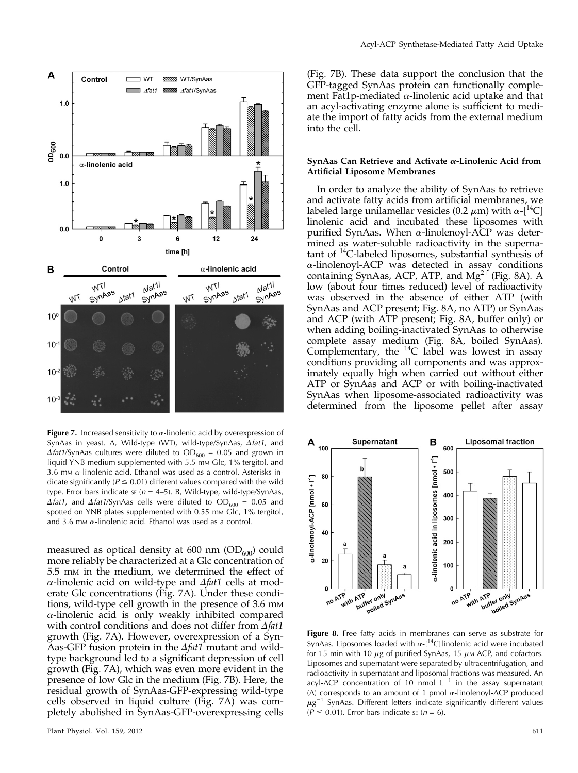

**Figure 7.** Increased sensitivity to  $\alpha$ -linolenic acid by overexpression of SynAas in yeast. A, Wild-type (WT), wild-type/SynAas,  $\Delta f$ at1, and  $\Delta$ fat1/SynAas cultures were diluted to OD<sub>600</sub> = 0.05 and grown in liquid YNB medium supplemented with 5.5 mm Glc, 1% tergitol, and 3.6 mm  $\alpha$ -linolenic acid. Ethanol was used as a control. Asterisks indicate significantly ( $P \le 0.01$ ) different values compared with the wild type. Error bars indicate  $s_E$  ( $n = 4-5$ ). B, Wild-type, wild-type/SynAas,  $\Delta$ fat1, and  $\Delta$ fat1/SynAas cells were diluted to OD<sub>600</sub> = 0.05 and spotted on YNB plates supplemented with 0.55 mm Glc, 1% tergitol, and 3.6 mm  $\alpha$ -linolenic acid. Ethanol was used as a control.

measured as optical density at 600 nm  $(OD<sub>600</sub>)$  could more reliably be characterized at a Glc concentration of 5.5 mM in the medium, we determined the effect of  $\alpha$ -linolenic acid on wild-type and  $\Delta f$ at1 cells at moderate Glc concentrations (Fig. 7A). Under these conditions, wild-type cell growth in the presence of 3.6 mm  $\alpha$ -linolenic acid is only weakly inhibited compared with control conditions and does not differ from  $\Delta f$ at1 growth (Fig. 7A). However, overexpression of a Syn-Aas-GFP fusion protein in the  $\Delta$ fat1 mutant and wildtype background led to a significant depression of cell growth (Fig. 7A), which was even more evident in the presence of low Glc in the medium (Fig. 7B). Here, the residual growth of SynAas-GFP-expressing wild-type cells observed in liquid culture (Fig. 7A) was completely abolished in SynAas-GFP-overexpressing cells

(Fig. 7B). These data support the conclusion that the GFP-tagged SynAas protein can functionally complement Fat1p-mediated  $\alpha$ -linolenic acid uptake and that an acyl-activating enzyme alone is sufficient to mediate the import of fatty acids from the external medium into the cell.

#### SynAas Can Retrieve and Activate  $\alpha$ -Linolenic Acid from Artificial Liposome Membranes

In order to analyze the ability of SynAas to retrieve and activate fatty acids from artificial membranes, we labeled large unilamellar vesicles (0.2  $\mu$ m) with  $\alpha$ -[<sup>14</sup>C] linolenic acid and incubated these liposomes with purified SynAas. When  $\alpha$ -linolenoyl-ACP was determined as water-soluble radioactivity in the supernatant of  $^{14}$ C-labeled liposomes, substantial synthesis of  $\alpha$ -linolenoyl-ACP was detected in assay conditions containing SynAas, ACP, ATP, and  $Mg^{2+}$  (Fig. 8A). A low (about four times reduced) level of radioactivity was observed in the absence of either ATP (with SynAas and ACP present; Fig. 8A, no ATP) or SynAas and ACP (with ATP present; Fig. 8A, buffer only) or when adding boiling-inactivated SynAas to otherwise complete assay medium (Fig. 8A, boiled SynAas). Complementary, the  $^{14}$ C label was lowest in assay conditions providing all components and was approximately equally high when carried out without either ATP or SynAas and ACP or with boiling-inactivated SynAas when liposome-associated radioactivity was determined from the liposome pellet after assay



Figure 8. Free fatty acids in membranes can serve as substrate for SynAas. Liposomes loaded with  $\alpha$ -[<sup>14</sup>C]linolenic acid were incubated for 15 min with 10  $\mu$ g of purified SynAas, 15  $\mu$ M ACP, and cofactors. Liposomes and supernatant were separated by ultracentrifugation, and radioactivity in supernatant and liposomal fractions was measured. An acyl-ACP concentration of 10 nmol  $L^{-1}$  in the assay supernatant (A) corresponds to an amount of 1 pmol  $\alpha$ -linolenoyl-ACP produced  $\mu$ g<sup>-1</sup> SynAas. Different letters indicate significantly different values ( $P \le 0.01$ ). Error bars indicate se ( $n = 6$ ).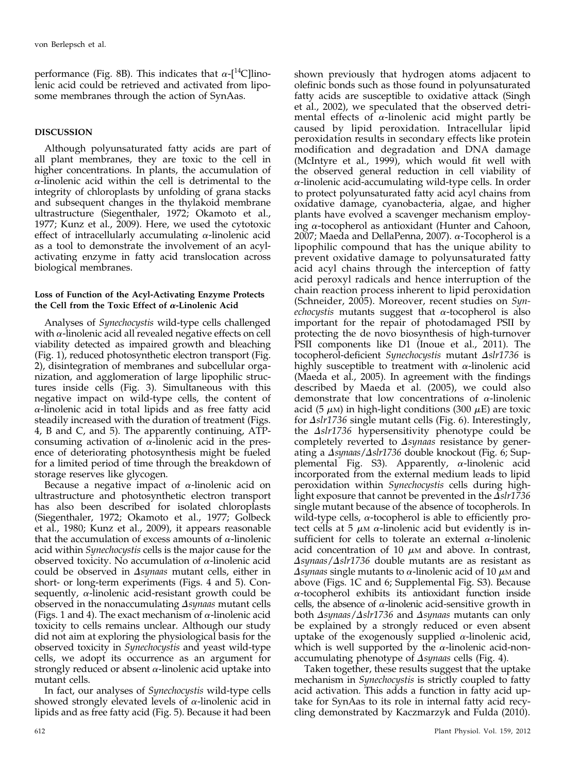performance (Fig. 8B). This indicates that  $\alpha$ -[<sup>14</sup>C]linolenic acid could be retrieved and activated from liposome membranes through the action of SynAas.

## DISCUSSION

Although polyunsaturated fatty acids are part of all plant membranes, they are toxic to the cell in higher concentrations. In plants, the accumulation of  $\alpha$ -linolenic acid within the cell is detrimental to the integrity of chloroplasts by unfolding of grana stacks and subsequent changes in the thylakoid membrane ultrastructure (Siegenthaler, 1972; Okamoto et al., 1977; Kunz et al., 2009). Here, we used the cytotoxic effect of intracellularly accumulating  $\alpha$ -linolenic acid as a tool to demonstrate the involvement of an acylactivating enzyme in fatty acid translocation across biological membranes.

## Loss of Function of the Acyl-Activating Enzyme Protects the Cell from the Toxic Effect of  $\alpha$ -Linolenic Acid

Analyses of Synechocystis wild-type cells challenged with  $\alpha$ -linolenic acid all revealed negative effects on cell viability detected as impaired growth and bleaching (Fig. 1), reduced photosynthetic electron transport (Fig. 2), disintegration of membranes and subcellular organization, and agglomeration of large lipophilic structures inside cells (Fig. 3). Simultaneous with this negative impact on wild-type cells, the content of  $\alpha$ -linolenic acid in total lipids and as free fatty acid steadily increased with the duration of treatment (Figs. 4, B and C, and 5). The apparently continuing, ATPconsuming activation of  $\alpha$ -linolenic acid in the presence of deteriorating photosynthesis might be fueled for a limited period of time through the breakdown of storage reserves like glycogen.

Because a negative impact of  $\alpha$ -linolenic acid on ultrastructure and photosynthetic electron transport has also been described for isolated chloroplasts (Siegenthaler, 1972; Okamoto et al., 1977; Golbeck et al., 1980; Kunz et al., 2009), it appears reasonable that the accumulation of excess amounts of  $\alpha$ -linolenic acid within Synechocystis cells is the major cause for the observed toxicity. No accumulation of  $\alpha$ -linolenic acid could be observed in  $\Delta$ synaas mutant cells, either in short- or long-term experiments (Figs. 4 and 5). Consequently,  $\alpha$ -linolenic acid-resistant growth could be observed in the nonaccumulating  $\Delta$ synaas mutant cells (Figs. 1 and 4). The exact mechanism of  $\alpha$ -linolenic acid toxicity to cells remains unclear. Although our study did not aim at exploring the physiological basis for the observed toxicity in Synechocystis and yeast wild-type cells, we adopt its occurrence as an argument for strongly reduced or absent  $\alpha$ -linolenic acid uptake into mutant cells.

In fact, our analyses of Synechocystis wild-type cells showed strongly elevated levels of  $\alpha$ -linolenic acid in lipids and as free fatty acid (Fig. 5). Because it had been

shown previously that hydrogen atoms adjacent to olefinic bonds such as those found in polyunsaturated fatty acids are susceptible to oxidative attack (Singh et al., 2002), we speculated that the observed detrimental effects of  $\alpha$ -linolenic acid might partly be caused by lipid peroxidation. Intracellular lipid peroxidation results in secondary effects like protein modification and degradation and DNA damage (McIntyre et al., 1999), which would fit well with the observed general reduction in cell viability of  $\alpha$ -linolenic acid-accumulating wild-type cells. In order to protect polyunsaturated fatty acid acyl chains from oxidative damage, cyanobacteria, algae, and higher plants have evolved a scavenger mechanism employing  $\alpha$ -tocopherol as antioxidant (Hunter and Cahoon, 2007; Maeda and DellaPenna, 2007).  $\alpha$ -Tocopherol is a lipophilic compound that has the unique ability to prevent oxidative damage to polyunsaturated fatty acid acyl chains through the interception of fatty acid peroxyl radicals and hence interruption of the chain reaction process inherent to lipid peroxidation (Schneider, 2005). Moreover, recent studies on Synechocystis mutants suggest that  $\alpha$ -tocopherol is also important for the repair of photodamaged PSII by protecting the de novo biosynthesis of high-turnover PSII components like D1 (Inoue et al., 2011). The tocopherol-deficient Synechocystis mutant  $\Delta s$ lr1736 is highly susceptible to treatment with  $\alpha$ -linolenic acid (Maeda et al., 2005). In agreement with the findings described by Maeda et al. (2005), we could also demonstrate that low concentrations of  $\alpha$ -linolenic acid (5  $\mu$ M) in high-light conditions (300  $\mu$ E) are toxic for  $\Delta$ slr1736 single mutant cells (Fig. 6). Interestingly, the  $\Delta s l r 1736$  hypersensitivity phenotype could be completely reverted to  $\Delta$ synaas resistance by generating a  $\Delta$ synaas/ $\Delta$ slr1736 double knockout (Fig. 6; [Sup](http://www.plantphysiol.org/cgi/content/full/pp.112.195263/DC1)[plemental Fig. S3](http://www.plantphysiol.org/cgi/content/full/pp.112.195263/DC1)). Apparently,  $\alpha$ -linolenic acid incorporated from the external medium leads to lipid peroxidation within Synechocystis cells during highlight exposure that cannot be prevented in the  $\Delta$ slr1736 single mutant because of the absence of tocopherols. In wild-type cells,  $\alpha$ -tocopherol is able to efficiently protect cells at 5  $\mu$ <sub>M</sub>  $\alpha$ -linolenic acid but evidently is insufficient for cells to tolerate an external  $\alpha$ -linolenic acid concentration of 10  $\mu$ M and above. In contrast,  $\Delta$ synaas/ $\Delta$ slr1736 double mutants are as resistant as  $\Delta$ synaas single mutants to  $\alpha$ -linolenic acid of 10  $\mu$ M and above (Figs. 1C and 6; [Supplemental Fig. S3](http://www.plantphysiol.org/cgi/content/full/pp.112.195263/DC1)). Because  $\alpha$ -tocopherol exhibits its antioxidant function inside cells, the absence of  $\alpha$ -linolenic acid-sensitive growth in both  $\Delta$ synaas/ $\Delta$ slr1736 and  $\Delta$ synaas mutants can only be explained by a strongly reduced or even absent uptake of the exogenously supplied  $\alpha$ -linolenic acid, which is well supported by the  $\alpha$ -linolenic acid-nonaccumulating phenotype of  $\Delta$ synaas cells (Fig. 4).

Taken together, these results suggest that the uptake mechanism in Synechocystis is strictly coupled to fatty acid activation. This adds a function in fatty acid uptake for SynAas to its role in internal fatty acid recycling demonstrated by Kaczmarzyk and Fulda (2010).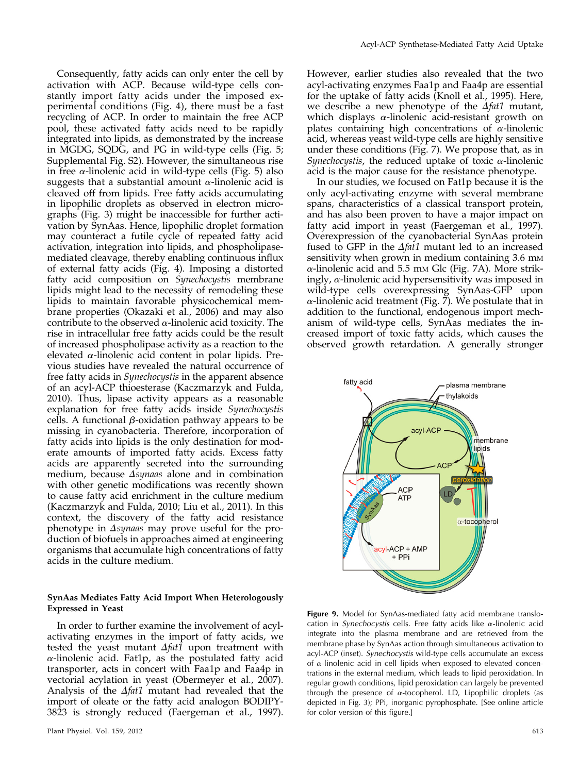Consequently, fatty acids can only enter the cell by activation with ACP. Because wild-type cells constantly import fatty acids under the imposed experimental conditions (Fig. 4), there must be a fast recycling of ACP. In order to maintain the free ACP pool, these activated fatty acids need to be rapidly integrated into lipids, as demonstrated by the increase in MGDG, SQDG, and PG in wild-type cells (Fig. 5; [Supplemental Fig. S2](http://www.plantphysiol.org/cgi/content/full/pp.112.195263/DC1)). However, the simultaneous rise in free  $\alpha$ -linolenic acid in wild-type cells (Fig. 5) also suggests that a substantial amount  $\alpha$ -linolenic acid is cleaved off from lipids. Free fatty acids accumulating in lipophilic droplets as observed in electron micrographs (Fig. 3) might be inaccessible for further activation by SynAas. Hence, lipophilic droplet formation may counteract a futile cycle of repeated fatty acid activation, integration into lipids, and phospholipasemediated cleavage, thereby enabling continuous influx of external fatty acids (Fig. 4). Imposing a distorted fatty acid composition on Synechocystis membrane lipids might lead to the necessity of remodeling these lipids to maintain favorable physicochemical membrane properties (Okazaki et al., 2006) and may also contribute to the observed  $\alpha$ -linolenic acid toxicity. The rise in intracellular free fatty acids could be the result of increased phospholipase activity as a reaction to the elevated  $\alpha$ -linolenic acid content in polar lipids. Previous studies have revealed the natural occurrence of free fatty acids in Synechocystis in the apparent absence of an acyl-ACP thioesterase (Kaczmarzyk and Fulda, 2010). Thus, lipase activity appears as a reasonable explanation for free fatty acids inside Synechocystis cells. A functional  $\beta$ -oxidation pathway appears to be missing in cyanobacteria. Therefore, incorporation of fatty acids into lipids is the only destination for moderate amounts of imported fatty acids. Excess fatty acids are apparently secreted into the surrounding medium, because  $\Delta$ synaas alone and in combination with other genetic modifications was recently shown to cause fatty acid enrichment in the culture medium (Kaczmarzyk and Fulda, 2010; Liu et al., 2011). In this context, the discovery of the fatty acid resistance phenotype in  $\Delta$ synaas may prove useful for the production of biofuels in approaches aimed at engineering organisms that accumulate high concentrations of fatty acids in the culture medium.

#### SynAas Mediates Fatty Acid Import When Heterologously Expressed in Yeast

In order to further examine the involvement of acylactivating enzymes in the import of fatty acids, we tested the yeast mutant  $\Delta f$ at1 upon treatment with  $\alpha$ -linolenic acid. Fat1p, as the postulated fatty acid transporter, acts in concert with Faa1p and Faa4p in vectorial acylation in yeast (Obermeyer et al., 2007). Analysis of the  $\Delta f$ at1 mutant had revealed that the import of oleate or the fatty acid analogon BODIPY-3823 is strongly reduced (Faergeman et al., 1997).

However, earlier studies also revealed that the two acyl-activating enzymes Faa1p and Faa4p are essential for the uptake of fatty acids (Knoll et al., 1995). Here, we describe a new phenotype of the  $\Delta f$ at1 mutant, which displays  $\alpha$ -linolenic acid-resistant growth on plates containing high concentrations of  $\alpha$ -linolenic acid, whereas yeast wild-type cells are highly sensitive under these conditions (Fig. 7). We propose that, as in Synechocystis, the reduced uptake of toxic  $\alpha$ -linolenic acid is the major cause for the resistance phenotype.

In our studies, we focused on Fat1p because it is the only acyl-activating enzyme with several membrane spans, characteristics of a classical transport protein, and has also been proven to have a major impact on fatty acid import in yeast (Faergeman et al., 1997). Overexpression of the cyanobacterial SynAas protein fused to GFP in the  $\Delta f$ at1 mutant led to an increased sensitivity when grown in medium containing 3.6 mm  $\alpha$ -linolenic acid and 5.5 mm Glc (Fig. 7A). More strikingly,  $\alpha$ -linolenic acid hypersensitivity was imposed in wild-type cells overexpressing SynAas-GFP upon  $\alpha$ -linolenic acid treatment (Fig. 7). We postulate that in addition to the functional, endogenous import mechanism of wild-type cells, SynAas mediates the increased import of toxic fatty acids, which causes the observed growth retardation. A generally stronger



Figure 9. Model for SynAas-mediated fatty acid membrane translocation in Synechocystis cells. Free fatty acids like  $\alpha$ -linolenic acid integrate into the plasma membrane and are retrieved from the membrane phase by SynAas action through simultaneous activation to acyl-ACP (inset). Synechocystis wild-type cells accumulate an excess of  $\alpha$ -linolenic acid in cell lipids when exposed to elevated concentrations in the external medium, which leads to lipid peroxidation. In regular growth conditions, lipid peroxidation can largely be prevented through the presence of  $\alpha$ -tocopherol. LD, Lipophilic droplets (as depicted in Fig. 3); PPi, inorganic pyrophosphate. [See online article for color version of this figure.]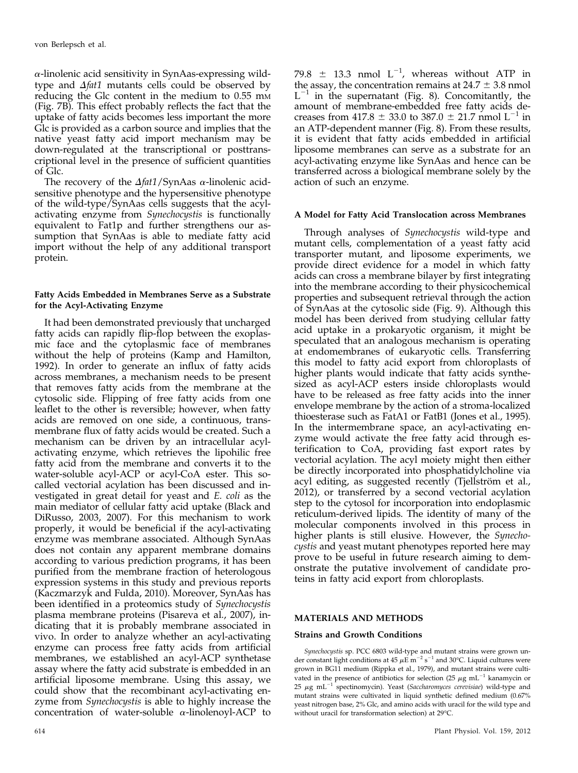$\alpha$ -linolenic acid sensitivity in SynAas-expressing wildtype and  $\Delta f$ at1 mutants cells could be observed by reducing the Glc content in the medium to 0.55 mm (Fig. 7B). This effect probably reflects the fact that the uptake of fatty acids becomes less important the more Glc is provided as a carbon source and implies that the native yeast fatty acid import mechanism may be down-regulated at the transcriptional or posttranscriptional level in the presence of sufficient quantities of Glc.

The recovery of the  $\Delta f$ at1/SynAas  $\alpha$ -linolenic acidsensitive phenotype and the hypersensitive phenotype of the wild-type/SynAas cells suggests that the acylactivating enzyme from Synechocystis is functionally equivalent to Fat1p and further strengthens our assumption that SynAas is able to mediate fatty acid import without the help of any additional transport protein.

## Fatty Acids Embedded in Membranes Serve as a Substrate for the Acyl-Activating Enzyme

It had been demonstrated previously that uncharged fatty acids can rapidly flip-flop between the exoplasmic face and the cytoplasmic face of membranes without the help of proteins (Kamp and Hamilton, 1992). In order to generate an influx of fatty acids across membranes, a mechanism needs to be present that removes fatty acids from the membrane at the cytosolic side. Flipping of free fatty acids from one leaflet to the other is reversible; however, when fatty acids are removed on one side, a continuous, transmembrane flux of fatty acids would be created. Such a mechanism can be driven by an intracellular acylactivating enzyme, which retrieves the lipohilic free fatty acid from the membrane and converts it to the water-soluble acyl-ACP or acyl-CoA ester. This socalled vectorial acylation has been discussed and investigated in great detail for yeast and E. coli as the main mediator of cellular fatty acid uptake (Black and DiRusso, 2003, 2007). For this mechanism to work properly, it would be beneficial if the acyl-activating enzyme was membrane associated. Although SynAas does not contain any apparent membrane domains according to various prediction programs, it has been purified from the membrane fraction of heterologous expression systems in this study and previous reports (Kaczmarzyk and Fulda, 2010). Moreover, SynAas has been identified in a proteomics study of Synechocystis plasma membrane proteins (Pisareva et al., 2007), indicating that it is probably membrane associated in vivo. In order to analyze whether an acyl-activating enzyme can process free fatty acids from artificial membranes, we established an acyl-ACP synthetase assay where the fatty acid substrate is embedded in an artificial liposome membrane. Using this assay, we could show that the recombinant acyl-activating enzyme from *Synechocystis* is able to highly increase the concentration of water-soluble  $\alpha$ -linolenoyl-ACP to

79.8  $\pm$  13.3 nmol  $L^{-1}$ , whereas without ATP in the assay, the concentration remains at  $24.7 \pm 3.8$  nmol  $L^{-1}$  in the supernatant (Fig. 8). Concomitantly, the amount of membrane-embedded free fatty acids decreases from  $417.8 \pm 33.0$  to  $387.0 \pm 21.7$  nmol  $L^{-1}$  in an ATP-dependent manner (Fig. 8). From these results, it is evident that fatty acids embedded in artificial liposome membranes can serve as a substrate for an acyl-activating enzyme like SynAas and hence can be transferred across a biological membrane solely by the action of such an enzyme.

#### A Model for Fatty Acid Translocation across Membranes

Through analyses of Synechocystis wild-type and mutant cells, complementation of a yeast fatty acid transporter mutant, and liposome experiments, we provide direct evidence for a model in which fatty acids can cross a membrane bilayer by first integrating into the membrane according to their physicochemical properties and subsequent retrieval through the action of SynAas at the cytosolic side (Fig. 9). Although this model has been derived from studying cellular fatty acid uptake in a prokaryotic organism, it might be speculated that an analogous mechanism is operating at endomembranes of eukaryotic cells. Transferring this model to fatty acid export from chloroplasts of higher plants would indicate that fatty acids synthesized as acyl-ACP esters inside chloroplasts would have to be released as free fatty acids into the inner envelope membrane by the action of a stroma-localized thioesterase such as FatA1 or FatB1 (Jones et al., 1995). In the intermembrane space, an acyl-activating enzyme would activate the free fatty acid through esterification to CoA, providing fast export rates by vectorial acylation. The acyl moiety might then either be directly incorporated into phosphatidylcholine via acyl editing, as suggested recently (Tjellström et al., 2012), or transferred by a second vectorial acylation step to the cytosol for incorporation into endoplasmic reticulum-derived lipids. The identity of many of the molecular components involved in this process in higher plants is still elusive. However, the Synechocystis and yeast mutant phenotypes reported here may prove to be useful in future research aiming to demonstrate the putative involvement of candidate proteins in fatty acid export from chloroplasts.

## MATERIALS AND METHODS

#### Strains and Growth Conditions

Synechocystis sp. PCC 6803 wild-type and mutant strains were grown under constant light conditions at 45  $\mu$ E m<sup>-2</sup> s<sup>-1</sup> and 30°C. Liquid cultures were grown in BG11 medium (Rippka et al., 1979), and mutant strains were cultivated in the presence of antibiotics for selection (25  $\mu$ g mL<sup>-1</sup> kanamycin or 25  $\mu$ g mL<sup>-1</sup> spectinomycin). Yeast (Saccharomyces cerevisiae) wild-type and mutant strains were cultivated in liquid synthetic defined medium (0.67% yeast nitrogen base, 2% Glc, and amino acids with uracil for the wild type and without uracil for transformation selection) at 29°C.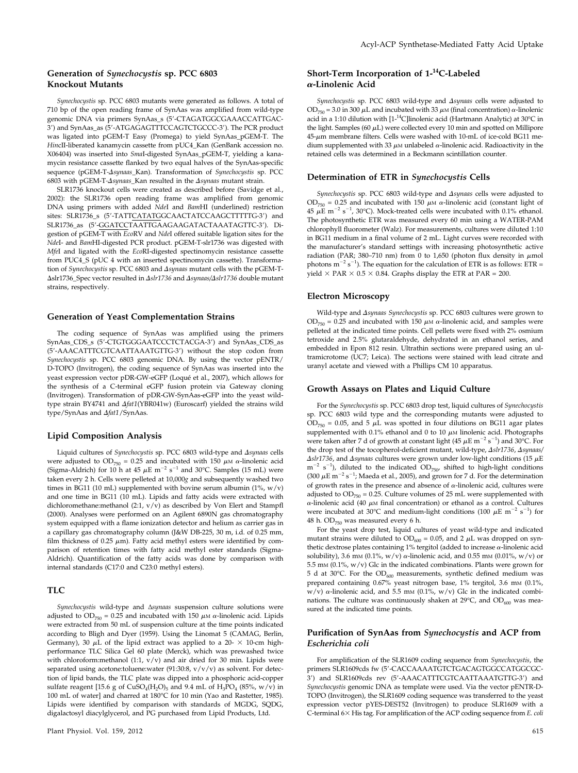## Generation of Synechocystis sp. PCC 6803 Knockout Mutants

Synechocystis sp. PCC 6803 mutants were generated as follows. A total of 710 bp of the open reading frame of SynAas was amplified from wild-type genomic DNA via primers SynAas\_s (5'-CTAGATGGCGAAACCATTGAC-3') and SynAas\_as (5'-ATGAGAGTTTCCAGTCTGCCC-3'). The PCR product was ligated into pGEM-T Easy (Promega) to yield SynAas\_pGEM-T. The HincII-liberated kanamycin cassette from pUC4\_Kan (GenBank accession no. X06404) was inserted into SmaI-digested SynAas\_pGEM-T, yielding a kanamycin resistance cassette flanked by two equal halves of the SynAas-specific sequence (pGEM-T- $\Delta$ synaas\_Kan). Transformation of Synechocystis sp. PCC 6803 with pGEM-T- $\Delta$ synaas Kan resulted in the  $\Delta$ synaas mutant strain.

SLR1736 knockout cells were created as described before (Savidge et al., 2002): the SLR1736 open reading frame was amplified from genomic DNA using primers with added NdeI and BamHI (underlined) restriction sites: SLR1736\_s (5'-TATTCATATGGCAACTATCCAAGCTTTTTG-3') and SLR1736\_as (5'-GGATCCTAATTGAAGAAGATACTAAATAGTTC-3'). Digestion of pGEM-T with EcoRV and NdeI offered suitable ligation sites for the NdeI- and BamHI-digested PCR product. pGEM-T-slr1736 was digested with MfeI and ligated with the EcoRI-digested spectinomycin resistance cassette from PUC4\_S (pUC 4 with an inserted spectinomycin cassette). Transformation of Synechocystis sp. PCC 6803 and Asynaas mutant cells with the pGEM-T-Dslr1736\_Spec vector resulted in Dslr1736 and Dsynaas/Dslr1736 double mutant strains, respectively.

#### Generation of Yeast Complementation Strains

The coding sequence of SynAas was amplified using the primers SynAas\_CDS\_s (5'-CTGTGGGAATCCCTCTACGA-3') and SynAas\_CDS\_as (5'-AAACATTTCGTCAATTAAATGTTG-3') without the stop codon from Synechocystis sp. PCC 6803 genomic DNA. By using the vector pENTR/ D-TOPO (Invitrogen), the coding sequence of SynAas was inserted into the yeast expression vector pDR-GW-eGFP (Loqué et al., 2007), which allows for the synthesis of a C-terminal eGFP fusion protein via Gateway cloning (Invitrogen). Transformation of pDR-GW-SynAas-eGFP into the yeast wildtype strain BY4741 and  $\Delta f$ at1(YBR041w) (Euroscarf) yielded the strains wild type/SynAas and  $\Delta$ fat1/SynAas.

#### Lipid Composition Analysis

Liquid cultures of Synechocystis sp. PCC 6803 wild-type and Asynaas cells were adjusted to  $OD_{750} = 0.25$  and incubated with  $150 \mu M \alpha$ -linolenic acid (Sigma-Aldrich) for 10 h at 45  $\mu$ E m<sup>-2</sup> s<sup>-1</sup> and 30°C. Samples (15 mL) were taken every 2 h. Cells were pelleted at 10,000g and subsequently washed two times in BG11 (10 mL) supplemented with bovine serum albumin (1%, w/v) and one time in BG11 (10 mL). Lipids and fatty acids were extracted with dichloromethane:methanol (2:1,  $v/v$ ) as described by Von Elert and Stampfl (2000). Analyses were performed on an Agilent 6890N gas chromatography system equipped with a flame ionization detector and helium as carrier gas in a capillary gas chromatography column (J&W DB-225, 30 m, i.d. of 0.25 mm, film thickness of 0.25  $\mu$ m). Fatty acid methyl esters were identified by comparison of retention times with fatty acid methyl ester standards (Sigma-Aldrich). Quantification of the fatty acids was done by comparison with internal standards (C17:0 and C23:0 methyl esters).

#### TLC

Synechocystis wild-type and Δsynaas suspension culture solutions were adjusted to OD<sub>750</sub> = 0.25 and incubated with 150  $\mu$ M  $\alpha$ -linolenic acid. Lipids were extracted from 50 mL of suspension culture at the time points indicated according to Bligh and Dyer (1959). Using the Linomat 5 (CAMAG, Berlin, Germany), 30  $\mu$ L of the lipid extract was applied to a 20-  $\times$  10-cm highperformance TLC Silica Gel 60 plate (Merck), which was prewashed twice with chloroform:methanol (1:1,  $\bar{v}/v$ ) and air dried for 30 min. Lipids were separated using acetone:toluene:water (91:30:8, v/v/v) as solvent. For detection of lipid bands, the TLC plate was dipped into a phosphoric acid-copper sulfate reagent [15.6 g of  $CuSO_4(H_2O)_5$  and 9.4 mL of  $H_3PO_4$  (85%, w/v) in 100 mL of water] and charred at 180°C for 10 min (Yao and Rastetter, 1985). Lipids were identified by comparison with standards of MGDG, SQDG, digalactosyl diacylglycerol, and PG purchased from Lipid Products, Ltd.

## Short-Term Incorporation of 1-<sup>14</sup>C-Labeled a-Linolenic Acid

Synechocystis sp. PCC 6803 wild-type and  $\Delta synaas$  cells were adjusted to  $OD_{750} = 3.0$  in 300  $\mu$ L and incubated with 33  $\mu$ M (final concentration)  $\alpha$ -linolenic acid in a 1:10 dilution with  $[1^{-14}C]$ linolenic acid (Hartmann Analytic) at 30°C in the light. Samples (60  $\mu$ L) were collected every 10 min and spotted on Millipore  $45-\mu m$  membrane filters. Cells were washed with 10-mL of ice-cold BG11 medium supplemented with 33  $\mu$ M unlabeled  $\alpha$ -linolenic acid. Radioactivity in the retained cells was determined in a Beckmann scintillation counter.

#### Determination of ETR in Synechocystis Cells

Synechocystis sp. PCC 6803 wild-type and Asynaas cells were adjusted to OD<sub>750</sub> = 0.25 and incubated with 150  $\mu$ M  $\alpha$ -linolenic acid (constant light of 45  $\mu$ E m<sup>-2</sup> s<sup>-1</sup>, 30°C). Mock-treated cells were incubated with 0.1% ethanol. The photosynthetic ETR was measured every 60 min using a WATER-PAM chlorophyll fluorometer (Walz). For measurements, cultures were diluted 1:10 in BG11 medium in a final volume of 2 mL. Light curves were recorded with the manufacturer's standard settings with increasing photosynthetic active radiation (PAR; 380–710 nm) from 0 to 1,650 (photon flux density in  $\mu$ mol photons  $m^{-2} s^{-1}$ ). The equation for the calculation of ETR is as follows: ETR = yield  $\times$  PAR  $\times$  0.5  $\times$  0.84. Graphs display the ETR at PAR = 200.

## Electron Microscopy

Wild-type and  $\Delta synaas$  Synechocystis sp. PCC 6803 cultures were grown to  $OD_{750} = 0.25$  and incubated with 150  $\mu$ M  $\alpha$ -linolenic acid, and samples were pelleted at the indicated time points. Cell pellets were fixed with 2% osmium tetroxide and 2.5% glutaraldehyde, dehydrated in an ethanol series, and embedded in Epon 812 resin. Ultrathin sections were prepared using an ultramicrotome (UC7; Leica). The sections were stained with lead citrate and uranyl acetate and viewed with a Phillips CM 10 apparatus.

#### Growth Assays on Plates and Liquid Culture

For the Synechocystis sp. PCC 6803 drop test, liquid cultures of Synechocystis sp. PCC 6803 wild type and the corresponding mutants were adjusted to  $OD_{750} = 0.05$ , and 5  $\mu$ L was spotted in four dilutions on BG11 agar plates supplemented with 0.1% ethanol and 0 to 10  $\mu$ M linolenic acid. Photographs were taken after 7 d of growth at constant light (45  $\mu$ E m $^{-2}$  s $^{-1}$ ) and 30°C. For the drop test of the tocopherol-deficient mutant, wild-type,  $\Delta$ slr1736,  $\Delta$ synaas/  $\Delta$ slr1736, and  $\Delta$ synaas cultures were grown under low-light conditions (15  $\mu$ E  $m^{-2}$  s<sup>-1</sup>), diluted to the indicated OD<sub>750</sub>, shifted to high-light conditions (300  $\mu$ E m<sup>-2</sup> s<sup>-1</sup>; Maeda et al., 2005), and grown for 7 d. For the determination of growth rates in the presence and absence of  $\alpha$ -linolenic acid, cultures were adjusted to  $OD_{750} = 0.25$ . Culture volumes of 25 mL were supplemented with  $\alpha$ -linolenic acid (40  $\mu$ M final concentration) or ethanol as a control. Cultures were incubated at 30°C and medium-light conditions (100  $\mu$ E m<sup>-2</sup> s<sup>-1</sup>) for 48 h.  $OD_{750}$  was measured every 6 h.

For the yeast drop test, liquid cultures of yeast wild-type and indicated mutant strains were diluted to  $OD<sub>600</sub> = 0.05$ , and 2  $\mu$ L was dropped on synthetic dextrose plates containing  $1\%$  tergitol (added to increase  $\alpha$ -linolenic acid solubility), 3.6 mm (0.1%, w/v)  $\alpha$ -linolenic acid, and 0.55 mm (0.01%, w/v) or 5.5 mm  $(0.1\%$ ,  $w/v)$  Glc in the indicated combinations. Plants were grown for 5 d at 30°C. For the  $OD_{600}$  measurements, synthetic defined medium was prepared containing 0.67% yeast nitrogen base, 1% tergitol, 3.6 mm (0.1%,  $w/v$ )  $\alpha$ -linolenic acid, and 5.5 mm (0.1%,  $w/v$ ) Glc in the indicated combinations. The culture was continuously shaken at  $29^{\circ}$ C, and  $OD_{600}$  was measured at the indicated time points.

#### Purification of SynAas from Synechocystis and ACP from Escherichia coli

For amplification of the SLR1609 coding sequence from Synechocystis, the primers SLR1609cds fw (5'-CACCAAAATGTCTGACAGTGGCCATGGCGC-3') and SLR1609cds rev (5'-AAACATTTCGTCAATTAAATGTTG-3') and Synechocystis genomic DNA as template were used. Via the vector pENTR-D-TOPO (Invitrogen), the SLR1609 coding sequence was transferred to the yeast expression vector pYES-DEST52 (Invitrogen) to produce SLR1609 with a C-terminal  $6\times$  His tag. For amplification of the ACP coding sequence from E. coli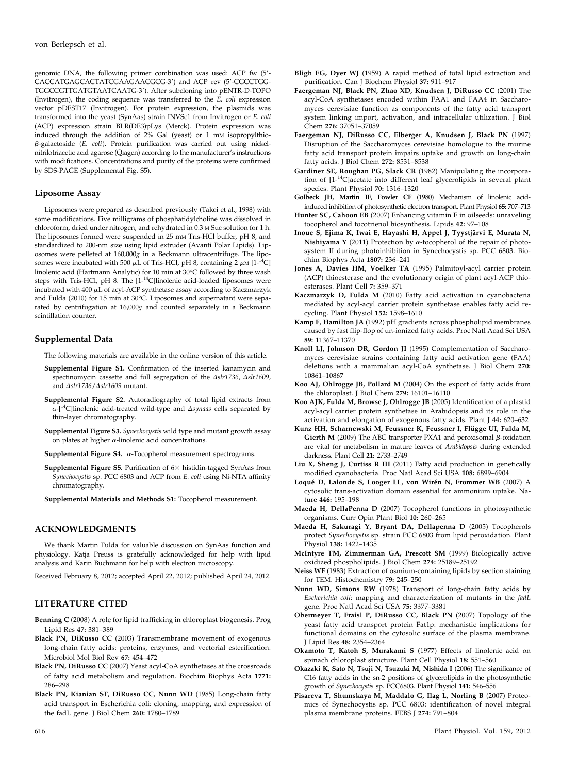genomic DNA, the following primer combination was used: ACP\_fw (5'-CACCATGAGCACTATCGAAGAACGCG-3') and ACP\_rev (5'-CGCCTGG-TGGCCGTTGATGTAATCAATG-3'). After subcloning into pENTR-D-TOPO (Invitrogen), the coding sequence was transferred to the E. coli expression vector pDEST17 (Invitrogen). For protein expression, the plasmids was transformed into the yeast (SynAas) strain INVSc1 from Invitrogen or E. coli (ACP) expression strain BLR(DE3)pLys (Merck). Protein expression was induced through the addition of  $2\%$  Gal (yeast) or 1 mm isopropylthio- $\beta$ -galactoside (E. coli). Protein purification was carried out using nickelnitrilotriacetic acid agarose (Qiagen) according to the manufacturer's instructions with modifications. Concentrations and purity of the proteins were confirmed by SDS-PAGE ([Supplemental Fig. S5](http://www.plantphysiol.org/cgi/content/full/pp.112.195263/DC1)).

#### Liposome Assay

Liposomes were prepared as described previously (Takei et al., 1998) with some modifications. Five milligrams of phosphatidylcholine was dissolved in chloroform, dried under nitrogen, and rehydrated in 0.3 <sup>M</sup> Suc solution for 1 h. The liposomes formed were suspended in 25 mm Tris-HCl buffer, pH 8, and standardized to 200-nm size using lipid extruder (Avanti Polar Lipids). Liposomes were pelleted at 160,000g in a Beckmann ultracentrifuge. The liposomes were incubated with 500  $\mu$ L of Tris-HCl, pH 8, containing 2  $\mu$ M [1-<sup>14</sup>C] linolenic acid (Hartmann Analytic) for 10 min at 30°C followed by three wash steps with Tris-HCl, pH 8. The  $[1^{-14}C]$ linolenic acid-loaded liposomes were incubated with  $400 \mu L$  of acyl-ACP synthetase assay according to Kaczmarzyk and Fulda (2010) for 15 min at 30°C. Liposomes and supernatant were separated by centrifugation at 16,000g and counted separately in a Beckmann scintillation counter.

#### Supplemental Data

The following materials are available in the online version of this article.

- [Supplemental Figure S1.](http://www.plantphysiol.org/cgi/content/full/pp.112.195263/DC1) Confirmation of the inserted kanamycin and spectinomycin cassette and full segregation of the  $\Delta$ slr1736,  $\Delta$ slr1609, and  $\Delta s$ lr1736/ $\Delta s$ lr1609 mutant.
- [Supplemental Figure S2.](http://www.plantphysiol.org/cgi/content/full/pp.112.195263/DC1) Autoradiography of total lipid extracts from  $\alpha$ -[<sup>14</sup>C]linolenic acid-treated wild-type and  $\Delta$ synaas cells separated by thin-layer chromatography.
- [Supplemental Figure S3.](http://www.plantphysiol.org/cgi/content/full/pp.112.195263/DC1) Synechocystis wild type and mutant growth assay on plates at higher  $\alpha$ -linolenic acid concentrations.
- [Supplemental Figure S4.](http://www.plantphysiol.org/cgi/content/full/pp.112.195263/DC1)  $\alpha$ -Tocopherol measurement spectrograms.
- [Supplemental Figure S5.](http://www.plantphysiol.org/cgi/content/full/pp.112.195263/DC1) Purification of  $6\times$  histidin-tagged SynAas from Synechocystis sp. PCC 6803 and ACP from E. coli using Ni-NTA affinity chromatography.
- [Supplemental Materials and Methods S1:](http://www.plantphysiol.org/cgi/content/full/pp.112.195263/DC1) Tocopherol measurement.

## ACKNOWLEDGMENTS

We thank Martin Fulda for valuable discussion on SynAas function and physiology. Katja Preuss is gratefully acknowledged for help with lipid analysis and Karin Buchmann for help with electron microscopy.

Received February 8, 2012; accepted April 22, 2012; published April 24, 2012.

## LITERATURE CITED

- Benning C (2008) A role for lipid trafficking in chloroplast biogenesis. Prog Lipid Res 47: 381–389
- Black PN, DiRusso CC (2003) Transmembrane movement of exogenous long-chain fatty acids: proteins, enzymes, and vectorial esterification. Microbiol Mol Biol Rev 67: 454–472
- Black PN, DiRusso CC (2007) Yeast acyl-CoA synthetases at the crossroads of fatty acid metabolism and regulation. Biochim Biophys Acta 1771: 286–298
- Black PN, Kianian SF, DiRusso CC, Nunn WD (1985) Long-chain fatty acid transport in Escherichia coli: cloning, mapping, and expression of the fadL gene. J Biol Chem 260: 1780–1789
- Bligh EG, Dyer WJ (1959) A rapid method of total lipid extraction and purification. Can J Biochem Physiol 37: 911–917
- Faergeman NJ, Black PN, Zhao XD, Knudsen J, DiRusso CC (2001) The acyl-CoA synthetases encoded within FAA1 and FAA4 in Saccharomyces cerevisiae function as components of the fatty acid transport system linking import, activation, and intracellular utilization. J Biol Chem 276: 37051–37059
- Faergeman NJ, DiRusso CC, Elberger A, Knudsen J, Black PN (1997) Disruption of the Saccharomyces cerevisiae homologue to the murine fatty acid transport protein impairs uptake and growth on long-chain fatty acids. J Biol Chem 272: 8531–8538
- Gardiner SE, Roughan PG, Slack CR (1982) Manipulating the incorporation of  $[1 - {}^{14}C]$ acetate into different leaf glycerolipids in several plant species. Plant Physiol 70: 1316–1320
- Golbeck JH, Martin IF, Fowler CF (1980) Mechanism of linolenic acidinduced inhibition of photosynthetic electron transport. Plant Physiol 65: 707–713
- Hunter SC, Cahoon EB (2007) Enhancing vitamin E in oilseeds: unraveling tocopherol and tocotrienol biosynthesis. Lipids 42: 97–108
- Inoue S, Ejima K, Iwai E, Hayashi H, Appel J, Tyystjärvi E, Murata N, Nishiyama Y (2011) Protection by  $\alpha$ -tocopherol of the repair of photosystem II during photoinhibition in Synechocystis sp. PCC 6803. Biochim Biophys Acta 1807: 236–241
- Jones A, Davies HM, Voelker TA (1995) Palmitoyl-acyl carrier protein (ACP) thioesterase and the evolutionary origin of plant acyl-ACP thioesterases. Plant Cell 7: 359–371
- Kaczmarzyk D, Fulda M (2010) Fatty acid activation in cyanobacteria mediated by acyl-acyl carrier protein synthetase enables fatty acid recycling. Plant Physiol 152: 1598–1610
- Kamp F, Hamilton JA (1992) pH gradients across phospholipid membranes caused by fast flip-flop of un-ionized fatty acids. Proc Natl Acad Sci USA 89: 11367–11370
- Knoll LJ, Johnson DR, Gordon JI (1995) Complementation of Saccharomyces cerevisiae strains containing fatty acid activation gene (FAA) deletions with a mammalian acyl-CoA synthetase. J Biol Chem 270: 10861–10867
- Koo AJ, Ohlrogge JB, Pollard M (2004) On the export of fatty acids from the chloroplast. J Biol Chem 279: 16101–16110
- Koo AJK, Fulda M, Browse J, Ohlrogge JB (2005) Identification of a plastid acyl-acyl carrier protein synthetase in Arabidopsis and its role in the activation and elongation of exogenous fatty acids. Plant J 44: 620–632
- Kunz HH, Scharnewski M, Feussner K, Feussner I, Flügge UI, Fulda M, Gierth M (2009) The ABC transporter PXA1 and peroxisomal  $\beta$ -oxidation are vital for metabolism in mature leaves of Arabidopsis during extended darkness. Plant Cell 21: 2733–2749
- Liu X, Sheng J, Curtiss R III (2011) Fatty acid production in genetically modified cyanobacteria. Proc Natl Acad Sci USA 108: 6899–6904
- Loqué D, Lalonde S, Looger LL, von Wirén N, Frommer WB (2007) A cytosolic trans-activation domain essential for ammonium uptake. Nature 446: 195–198
- Maeda H, DellaPenna D (2007) Tocopherol functions in photosynthetic organisms. Curr Opin Plant Biol 10: 260–265
- Maeda H, Sakuragi Y, Bryant DA, Dellapenna D (2005) Tocopherols protect Synechocystis sp. strain PCC 6803 from lipid peroxidation. Plant Physiol 138: 1422-1435
- McIntyre TM, Zimmerman GA, Prescott SM (1999) Biologically active oxidized phospholipids. J Biol Chem 274: 25189–25192
- Neiss WF (1983) Extraction of osmium-containing lipids by section staining for TEM. Histochemistry 79: 245–250
- Nunn WD, Simons RW (1978) Transport of long-chain fatty acids by Escherichia coli: mapping and characterization of mutants in the fadL gene. Proc Natl Acad Sci USA 75: 3377–3381
- Obermeyer T, Fraisl P, DiRusso CC, Black PN (2007) Topology of the yeast fatty acid transport protein Fat1p: mechanistic implications for functional domains on the cytosolic surface of the plasma membrane. J Lipid Res 48: 2354–2364
- Okamoto T, Katoh S, Murakami S (1977) Effects of linolenic acid on spinach chloroplast structure. Plant Cell Physiol 18: 551–560
- Okazaki K, Sato N, Tsuji N, Tsuzuki M, Nishida I (2006) The significance of C16 fatty acids in the sn-2 positions of glycerolipids in the photosynthetic growth of Synechocystis sp. PCC6803. Plant Physiol 141: 546–556
- Pisareva T, Shumskaya M, Maddalo G, Ilag L, Norling B (2007) Proteomics of Synechocystis sp. PCC 6803: identification of novel integral plasma membrane proteins. FEBS J 274: 791–804